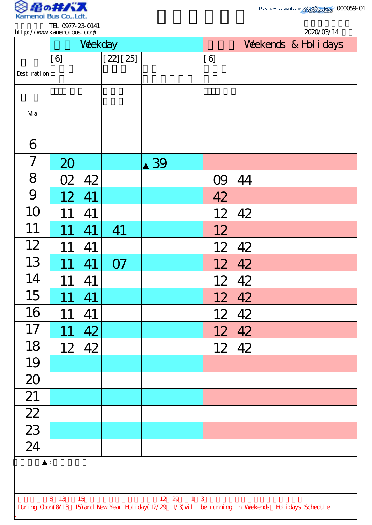

|                                    |                 | Weekday |           |    |     | Weekends & Hol i days |  |  |
|------------------------------------|-----------------|---------|-----------|----|-----|-----------------------|--|--|
| Desti nati on                      | [6]             |         | [22] [25] |    | [6] |                       |  |  |
| Vi a                               |                 |         |           |    |     |                       |  |  |
| 6                                  |                 |         |           |    |     |                       |  |  |
| $\overline{\mathcal{L}}$           | 20              |         |           | 39 |     |                       |  |  |
| 8                                  | O2              | 42      |           |    |     | 09 44                 |  |  |
| 9                                  | 12              | 41      |           |    | 42  |                       |  |  |
| 10                                 | 11              | 41      |           |    |     | 12 42                 |  |  |
| 11                                 |                 | 41      | 41        |    | 12  |                       |  |  |
| 12                                 |                 | 41      |           |    |     | 12 42                 |  |  |
| 13                                 | 11              | 41      | <b>O7</b> |    |     | 12 42                 |  |  |
| 14                                 | 11              | 41      |           |    |     | 12 42                 |  |  |
| 15                                 | 11              | 41      |           |    |     | 12 42                 |  |  |
| 16                                 | 11              | 41      |           |    |     | 12 42                 |  |  |
| 17                                 | 11              | 42      |           |    |     | 12 42                 |  |  |
| 18                                 | 12 <sup>7</sup> | 42      |           |    |     | 12 42                 |  |  |
| 19                                 |                 |         |           |    |     |                       |  |  |
| 20                                 |                 |         |           |    |     |                       |  |  |
| 21                                 |                 |         |           |    |     |                       |  |  |
| $\overline{22}$                    |                 |         |           |    |     |                       |  |  |
| $\overline{23}$<br>$\overline{24}$ |                 |         |           |    |     |                       |  |  |
|                                    |                 |         |           |    |     |                       |  |  |